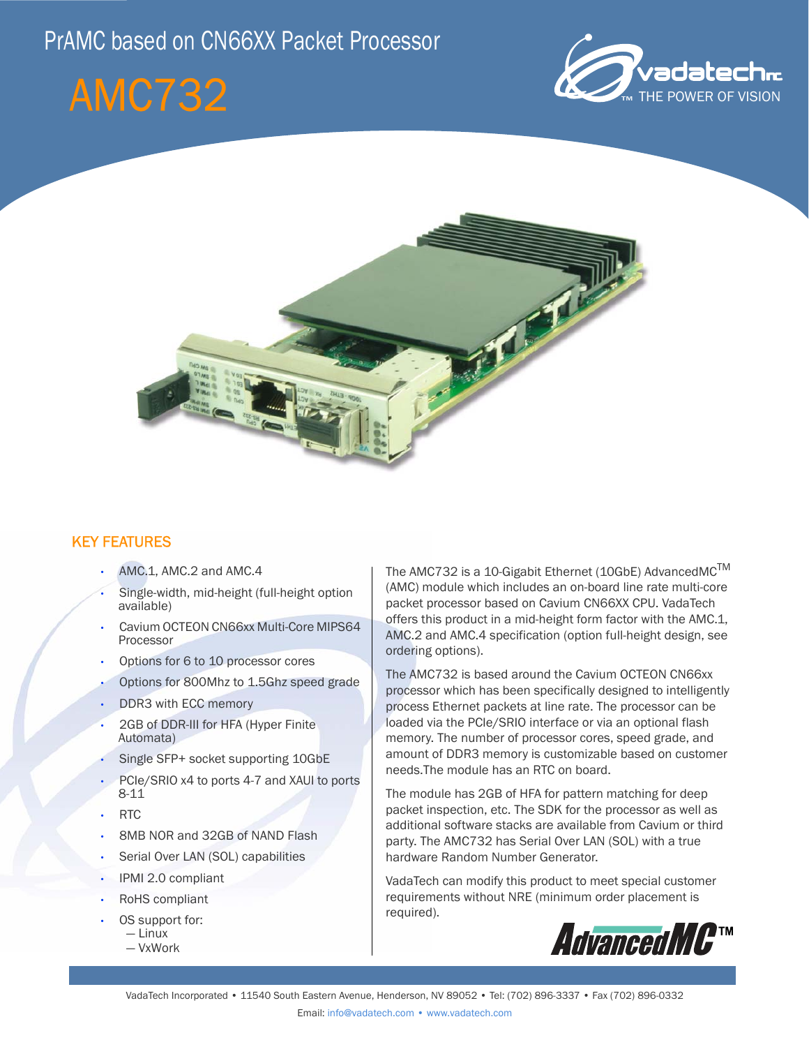# PrAMC based on CN66XX Packet Processor

# AMC732





# KEY FEATURES

- AMC.1, AMC.2 and AMC.4
- Single-width, mid-height (full-height option available)
- Cavium OCTEON CN66xx Multi-Core MIPS64 Processor
- Options for 6 to 10 processor cores
- Options for 800Mhz to 1.5Ghz speed grade
- DDR3 with ECC memory
- 2GB of DDR-III for HFA (Hyper Finite Automata)
- Single SFP+ socket supporting 10GbE
- PCIe/SRIO x4 to ports 4-7 and XAUI to ports 8-11
- RTC
- 8MB NOR and 32GB of NAND Flash
- Serial Over LAN (SOL) capabilities
- IPMI 2.0 compliant
- RoHS compliant
- OS support for: — Linux
	- VxWork

The AMC732 is a 10-Gigabit Ethernet (10GbE) AdvancedMC<sup>™</sup> (AMC) module which includes an on-board line rate multi-core packet processor based on Cavium CN66XX CPU. VadaTech offers this product in a mid-height form factor with the AMC.1, AMC.2 and AMC.4 specification (option full-height design, see ordering options).

The AMC732 is based around the Cavium OCTEON CN66xx processor which has been specifically designed to intelligently process Ethernet packets at line rate. The processor can be loaded via the PCIe/SRIO interface or via an optional flash memory. The number of processor cores, speed grade, and amount of DDR3 memory is customizable based on customer needs.The module has an RTC on board.

The module has 2GB of HFA for pattern matching for deep packet inspection, etc. The SDK for the processor as well as additional software stacks are available from Cavium or third party. The AMC732 has Serial Over LAN (SOL) with a true hardware Random Number Generator.

VadaTech can modify this product to meet special customer requirements without NRE (minimum order placement is required).

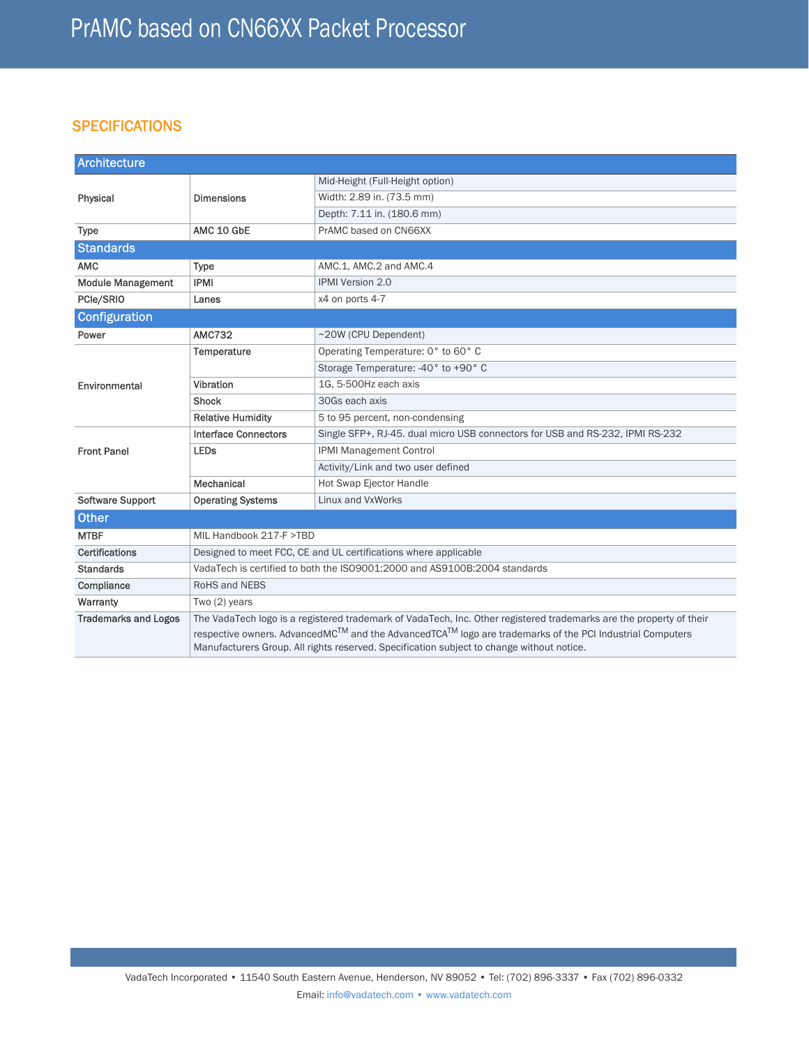## **SPECIFICATIONS**

| <b>Architecture</b>         |                                                                                                                                                                                                      |                                                                               |
|-----------------------------|------------------------------------------------------------------------------------------------------------------------------------------------------------------------------------------------------|-------------------------------------------------------------------------------|
| Physical                    | <b>Dimensions</b>                                                                                                                                                                                    | Mid-Height (Full-Height option)                                               |
|                             |                                                                                                                                                                                                      | Width: 2.89 in. (73.5 mm)                                                     |
|                             |                                                                                                                                                                                                      | Depth: 7.11 in. (180.6 mm)                                                    |
| <b>Type</b>                 | AMC 10 GbE                                                                                                                                                                                           | PrAMC based on CN66XX                                                         |
| <b>Standards</b>            |                                                                                                                                                                                                      |                                                                               |
| <b>AMC</b>                  | <b>Type</b>                                                                                                                                                                                          | AMC.1, AMC.2 and AMC.4                                                        |
| <b>Module Management</b>    | <b>IPMI</b>                                                                                                                                                                                          | <b>IPMI Version 2.0</b>                                                       |
| PCle/SRIO                   | Lanes                                                                                                                                                                                                | x4 on ports 4-7                                                               |
| <b>Configuration</b>        |                                                                                                                                                                                                      |                                                                               |
| Power                       | <b>AMC732</b>                                                                                                                                                                                        | ~20W (CPU Dependent)                                                          |
| Environmental               | Temperature                                                                                                                                                                                          | Operating Temperature: 0° to 60° C                                            |
|                             |                                                                                                                                                                                                      | Storage Temperature: -40° to +90° C                                           |
|                             | Vibration                                                                                                                                                                                            | 1G. 5-500Hz each axis                                                         |
|                             | <b>Shock</b>                                                                                                                                                                                         | 30Gs each axis                                                                |
|                             | <b>Relative Humidity</b>                                                                                                                                                                             | 5 to 95 percent, non-condensing                                               |
| <b>Front Panel</b>          | <b>Interface Connectors</b>                                                                                                                                                                          | Single SFP+, RJ-45. dual micro USB connectors for USB and RS-232, IPMI RS-232 |
|                             | <b>LEDs</b>                                                                                                                                                                                          | IPMI Management Control                                                       |
|                             |                                                                                                                                                                                                      | Activity/Link and two user defined                                            |
|                             | Mechanical                                                                                                                                                                                           | <b>Hot Swap Ejector Handle</b>                                                |
| <b>Software Support</b>     | <b>Operating Systems</b>                                                                                                                                                                             | Linux and VxWorks                                                             |
| <b>Other</b>                |                                                                                                                                                                                                      |                                                                               |
| <b>MTBF</b>                 | MIL Handbook 217-F >TBD                                                                                                                                                                              |                                                                               |
| <b>Certifications</b>       | Designed to meet FCC, CE and UL certifications where applicable                                                                                                                                      |                                                                               |
| <b>Standards</b>            | VadaTech is certified to both the ISO9001:2000 and AS9100B:2004 standards                                                                                                                            |                                                                               |
| Compliance                  | RoHS and NEBS                                                                                                                                                                                        |                                                                               |
| Warranty                    | Two (2) years                                                                                                                                                                                        |                                                                               |
| <b>Trademarks and Logos</b> | The VadaTech logo is a registered trademark of VadaTech, Inc. Other registered trademarks are the property of their                                                                                  |                                                                               |
|                             | respective owners. AdvancedMC™ and the AdvancedTCA™ logo are trademarks of the PCI Industrial Computers<br>Manufacturers Group. All rights reserved. Specification subject to change without notice. |                                                                               |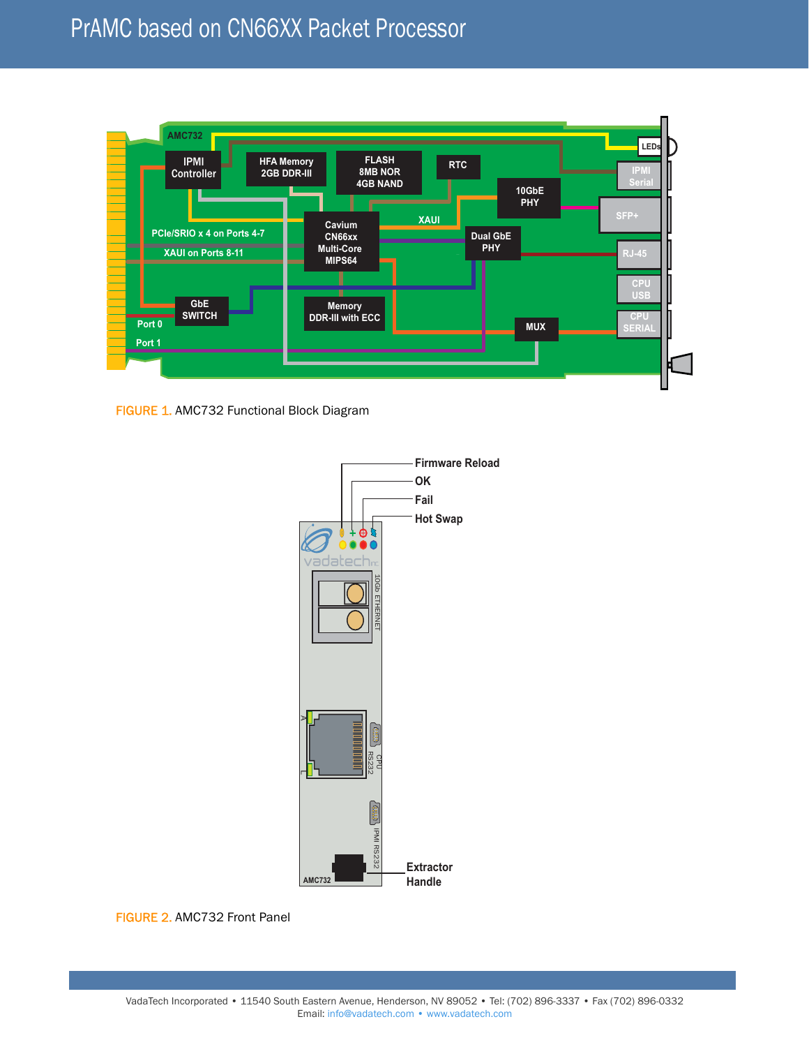

FIGURE 1. AMC732 Functional Block Diagram



FIGURE 2. AMC732 Front Panel